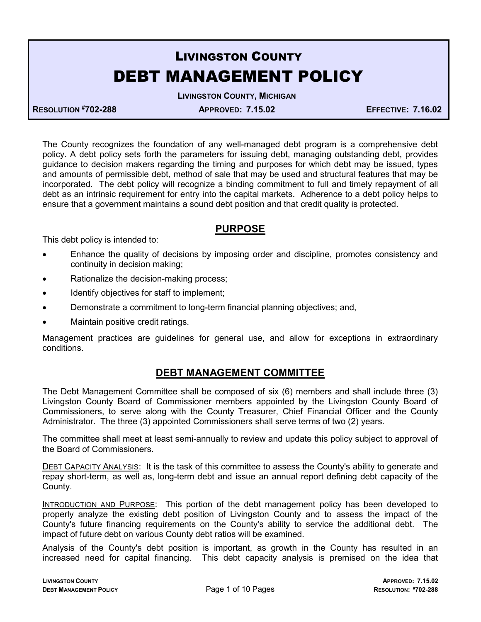# LIVINGSTON COUNTY DEBT MANAGEMENT POLICY

LIVINGSTON COUNTY, MICHIGAN

RESOLUTION #702-288 APPROVED: 7.15.02 EFFECTIVE: 7.16.02

The County recognizes the foundation of any well-managed debt program is a comprehensive debt policy. A debt policy sets forth the parameters for issuing debt, managing outstanding debt, provides guidance to decision makers regarding the timing and purposes for which debt may be issued, types and amounts of permissible debt, method of sale that may be used and structural features that may be incorporated. The debt policy will recognize a binding commitment to full and timely repayment of all debt as an intrinsic requirement for entry into the capital markets. Adherence to a debt policy helps to ensure that a government maintains a sound debt position and that credit quality is protected.

#### PURPOSE

This debt policy is intended to:

- Enhance the quality of decisions by imposing order and discipline, promotes consistency and continuity in decision making;
- Rationalize the decision-making process;
- Identify objectives for staff to implement;
- Demonstrate a commitment to long-term financial planning objectives; and,
- Maintain positive credit ratings.

Management practices are guidelines for general use, and allow for exceptions in extraordinary conditions.

#### DEBT MANAGEMENT COMMITTEE

The Debt Management Committee shall be composed of six (6) members and shall include three (3) Livingston County Board of Commissioner members appointed by the Livingston County Board of Commissioners, to serve along with the County Treasurer, Chief Financial Officer and the County Administrator. The three (3) appointed Commissioners shall serve terms of two (2) years.

The committee shall meet at least semi-annually to review and update this policy subject to approval of the Board of Commissioners.

DEBT CAPACITY ANALYSIS: It is the task of this committee to assess the County's ability to generate and repay short-term, as well as, long-term debt and issue an annual report defining debt capacity of the County.

INTRODUCTION AND PURPOSE: This portion of the debt management policy has been developed to properly analyze the existing debt position of Livingston County and to assess the impact of the County's future financing requirements on the County's ability to service the additional debt. The impact of future debt on various County debt ratios will be examined.

Analysis of the County's debt position is important, as growth in the County has resulted in an increased need for capital financing. This debt capacity analysis is premised on the idea that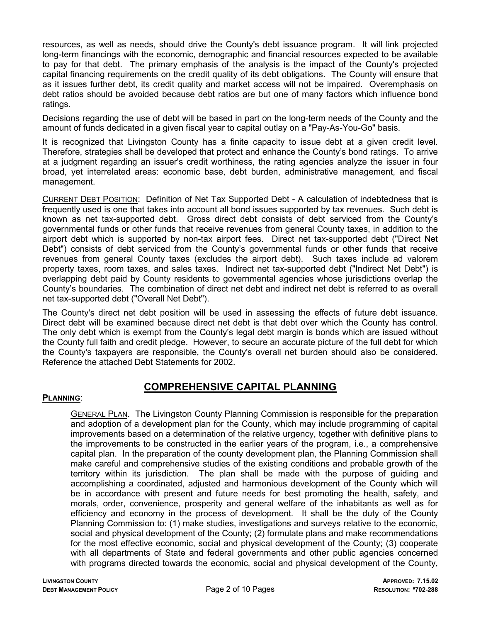resources, as well as needs, should drive the County's debt issuance program. It will link projected long-term financings with the economic, demographic and financial resources expected to be available to pay for that debt. The primary emphasis of the analysis is the impact of the County's projected capital financing requirements on the credit quality of its debt obligations. The County will ensure that as it issues further debt, its credit quality and market access will not be impaired. Overemphasis on debt ratios should be avoided because debt ratios are but one of many factors which influence bond ratings.

Decisions regarding the use of debt will be based in part on the long-term needs of the County and the amount of funds dedicated in a given fiscal year to capital outlay on a "Pay-As-You-Go" basis.

It is recognized that Livingston County has a finite capacity to issue debt at a given credit level. Therefore, strategies shall be developed that protect and enhance the County's bond ratings. To arrive at a judgment regarding an issuer's credit worthiness, the rating agencies analyze the issuer in four broad, yet interrelated areas: economic base, debt burden, administrative management, and fiscal management.

CURRENT DEBT POSITION: Definition of Net Tax Supported Debt - A calculation of indebtedness that is frequently used is one that takes into account all bond issues supported by tax revenues. Such debt is known as net tax-supported debt. Gross direct debt consists of debt serviced from the County's governmental funds or other funds that receive revenues from general County taxes, in addition to the airport debt which is supported by non-tax airport fees. Direct net tax-supported debt ("Direct Net Debt") consists of debt serviced from the County's governmental funds or other funds that receive revenues from general County taxes (excludes the airport debt). Such taxes include ad valorem property taxes, room taxes, and sales taxes. Indirect net tax-supported debt ("Indirect Net Debt") is overlapping debt paid by County residents to governmental agencies whose jurisdictions overlap the County's boundaries. The combination of direct net debt and indirect net debt is referred to as overall net tax-supported debt ("Overall Net Debt").

The County's direct net debt position will be used in assessing the effects of future debt issuance. Direct debt will be examined because direct net debt is that debt over which the County has control. The only debt which is exempt from the County's legal debt margin is bonds which are issued without the County full faith and credit pledge. However, to secure an accurate picture of the full debt for which the County's taxpayers are responsible, the County's overall net burden should also be considered. Reference the attached Debt Statements for 2002.

#### COMPREHENSIVE CAPITAL PLANNING

#### PLANNING:

 GENERAL PLAN. The Livingston County Planning Commission is responsible for the preparation and adoption of a development plan for the County, which may include programming of capital improvements based on a determination of the relative urgency, together with definitive plans to the improvements to be constructed in the earlier years of the program, i.e., a comprehensive capital plan. In the preparation of the county development plan, the Planning Commission shall make careful and comprehensive studies of the existing conditions and probable growth of the territory within its jurisdiction. The plan shall be made with the purpose of guiding and accomplishing a coordinated, adjusted and harmonious development of the County which will be in accordance with present and future needs for best promoting the health, safety, and morals, order, convenience, prosperity and general welfare of the inhabitants as well as for efficiency and economy in the process of development. It shall be the duty of the County Planning Commission to: (1) make studies, investigations and surveys relative to the economic, social and physical development of the County; (2) formulate plans and make recommendations for the most effective economic, social and physical development of the County; (3) cooperate with all departments of State and federal governments and other public agencies concerned with programs directed towards the economic, social and physical development of the County,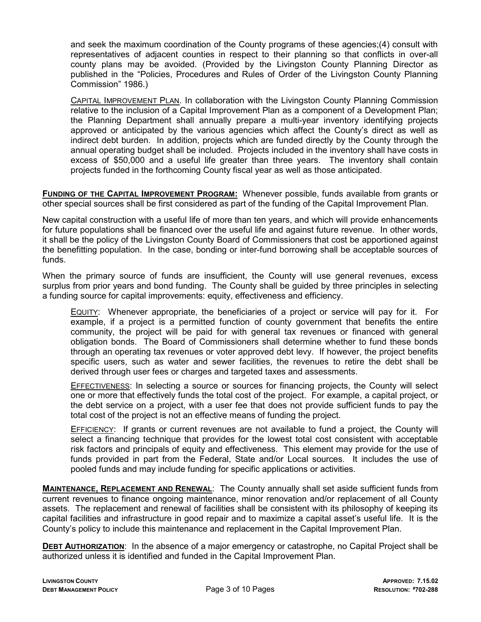and seek the maximum coordination of the County programs of these agencies;(4) consult with representatives of adjacent counties in respect to their planning so that conflicts in over-all county plans may be avoided. (Provided by the Livingston County Planning Director as published in the "Policies, Procedures and Rules of Order of the Livingston County Planning Commission" 1986.)

 CAPITAL IMPROVEMENT PLAN. In collaboration with the Livingston County Planning Commission relative to the inclusion of a Capital Improvement Plan as a component of a Development Plan; the Planning Department shall annually prepare a multi-year inventory identifying projects approved or anticipated by the various agencies which affect the County's direct as well as indirect debt burden. In addition, projects which are funded directly by the County through the annual operating budget shall be included. Projects included in the inventory shall have costs in excess of \$50,000 and a useful life greater than three years. The inventory shall contain projects funded in the forthcoming County fiscal year as well as those anticipated.

FUNDING OF THE CAPITAL IMPROVEMENT PROGRAM: Whenever possible, funds available from grants or other special sources shall be first considered as part of the funding of the Capital Improvement Plan.

New capital construction with a useful life of more than ten years, and which will provide enhancements for future populations shall be financed over the useful life and against future revenue. In other words, it shall be the policy of the Livingston County Board of Commissioners that cost be apportioned against the benefitting population. In the case, bonding or inter-fund borrowing shall be acceptable sources of funds.

When the primary source of funds are insufficient, the County will use general revenues, excess surplus from prior years and bond funding. The County shall be guided by three principles in selecting a funding source for capital improvements: equity, effectiveness and efficiency.

 EQUITY: Whenever appropriate, the beneficiaries of a project or service will pay for it. For example, if a project is a permitted function of county government that benefits the entire community, the project will be paid for with general tax revenues or financed with general obligation bonds. The Board of Commissioners shall determine whether to fund these bonds through an operating tax revenues or voter approved debt levy. If however, the project benefits specific users, such as water and sewer facilities, the revenues to retire the debt shall be derived through user fees or charges and targeted taxes and assessments.

**EFFECTIVENESS:** In selecting a source or sources for financing projects, the County will select one or more that effectively funds the total cost of the project. For example, a capital project, or the debt service on a project, with a user fee that does not provide sufficient funds to pay the total cost of the project is not an effective means of funding the project.

 EFFICIENCY: If grants or current revenues are not available to fund a project, the County will select a financing technique that provides for the lowest total cost consistent with acceptable risk factors and principals of equity and effectiveness. This element may provide for the use of funds provided in part from the Federal, State and/or Local sources. It includes the use of pooled funds and may include funding for specific applications or activities.

MAINTENANCE, REPLACEMENT AND RENEWAL: The County annually shall set aside sufficient funds from current revenues to finance ongoing maintenance, minor renovation and/or replacement of all County assets. The replacement and renewal of facilities shall be consistent with its philosophy of keeping its capital facilities and infrastructure in good repair and to maximize a capital asset's useful life. It is the County's policy to include this maintenance and replacement in the Capital Improvement Plan.

DEBT AUTHORIZATION: In the absence of a major emergency or catastrophe, no Capital Project shall be authorized unless it is identified and funded in the Capital Improvement Plan.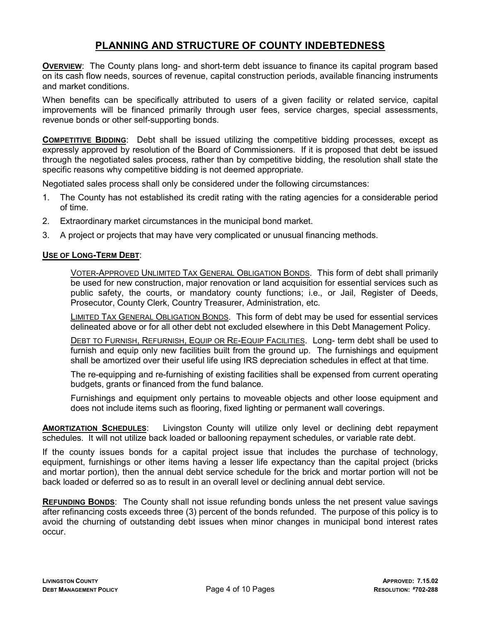## PLANNING AND STRUCTURE OF COUNTY INDEBTEDNESS

OVERVIEW: The County plans long- and short-term debt issuance to finance its capital program based on its cash flow needs, sources of revenue, capital construction periods, available financing instruments and market conditions.

When benefits can be specifically attributed to users of a given facility or related service, capital improvements will be financed primarily through user fees, service charges, special assessments, revenue bonds or other self-supporting bonds.

COMPETITIVE BIDDING: Debt shall be issued utilizing the competitive bidding processes, except as expressly approved by resolution of the Board of Commissioners. If it is proposed that debt be issued through the negotiated sales process, rather than by competitive bidding, the resolution shall state the specific reasons why competitive bidding is not deemed appropriate.

Negotiated sales process shall only be considered under the following circumstances:

- 1. The County has not established its credit rating with the rating agencies for a considerable period of time.
- 2. Extraordinary market circumstances in the municipal bond market.
- 3. A project or projects that may have very complicated or unusual financing methods.

#### USE OF LONG-TERM DEBT:

 VOTER-APPROVED UNLIMITED TAX GENERAL OBLIGATION BONDS. This form of debt shall primarily be used for new construction, major renovation or land acquisition for essential services such as public safety, the courts, or mandatory county functions; i.e., or Jail, Register of Deeds, Prosecutor, County Clerk, Country Treasurer, Administration, etc.

 LIMITED TAX GENERAL OBLIGATION BONDS. This form of debt may be used for essential services delineated above or for all other debt not excluded elsewhere in this Debt Management Policy.

 DEBT TO FURNISH, REFURNISH, EQUIP OR RE-EQUIP FACILITIES. Long- term debt shall be used to furnish and equip only new facilities built from the ground up. The furnishings and equipment shall be amortized over their useful life using IRS depreciation schedules in effect at that time.

 The re-equipping and re-furnishing of existing facilities shall be expensed from current operating budgets, grants or financed from the fund balance.

 Furnishings and equipment only pertains to moveable objects and other loose equipment and does not include items such as flooring, fixed lighting or permanent wall coverings.

AMORTIZATION SCHEDULES: Livingston County will utilize only level or declining debt repayment schedules. It will not utilize back loaded or ballooning repayment schedules, or variable rate debt.

If the county issues bonds for a capital project issue that includes the purchase of technology, equipment, furnishings or other items having a lesser life expectancy than the capital project (bricks and mortar portion), then the annual debt service schedule for the brick and mortar portion will not be back loaded or deferred so as to result in an overall level or declining annual debt service.

REFUNDING BONDS: The County shall not issue refunding bonds unless the net present value savings after refinancing costs exceeds three (3) percent of the bonds refunded. The purpose of this policy is to avoid the churning of outstanding debt issues when minor changes in municipal bond interest rates occur.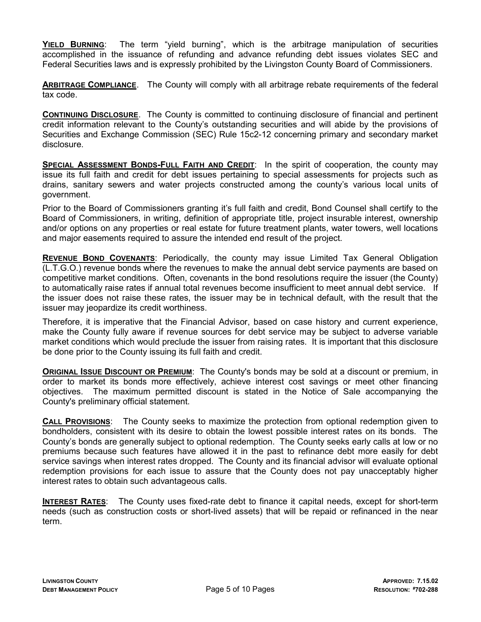YIELD BURNING: The term "yield burning", which is the arbitrage manipulation of securities accomplished in the issuance of refunding and advance refunding debt issues violates SEC and Federal Securities laws and is expressly prohibited by the Livingston County Board of Commissioners.

ARBITRAGE COMPLIANCE. The County will comply with all arbitrage rebate requirements of the federal tax code.

CONTINUING DISCLOSURE. The County is committed to continuing disclosure of financial and pertinent credit information relevant to the County's outstanding securities and will abide by the provisions of Securities and Exchange Commission (SEC) Rule 15c2-12 concerning primary and secondary market disclosure.

SPECIAL ASSESSMENT BONDS-FULL FAITH AND CREDIT: In the spirit of cooperation, the county may issue its full faith and credit for debt issues pertaining to special assessments for projects such as drains, sanitary sewers and water projects constructed among the county's various local units of government.

Prior to the Board of Commissioners granting it's full faith and credit, Bond Counsel shall certify to the Board of Commissioners, in writing, definition of appropriate title, project insurable interest, ownership and/or options on any properties or real estate for future treatment plants, water towers, well locations and major easements required to assure the intended end result of the project.

REVENUE BOND COVENANTS: Periodically, the county may issue Limited Tax General Obligation (L.T.G.O.) revenue bonds where the revenues to make the annual debt service payments are based on competitive market conditions. Often, covenants in the bond resolutions require the issuer (the County) to automatically raise rates if annual total revenues become insufficient to meet annual debt service. If the issuer does not raise these rates, the issuer may be in technical default, with the result that the issuer may jeopardize its credit worthiness.

Therefore, it is imperative that the Financial Advisor, based on case history and current experience, make the County fully aware if revenue sources for debt service may be subject to adverse variable market conditions which would preclude the issuer from raising rates. It is important that this disclosure be done prior to the County issuing its full faith and credit.

**ORIGINAL ISSUE DISCOUNT OR PREMIUM:** The County's bonds may be sold at a discount or premium, in order to market its bonds more effectively, achieve interest cost savings or meet other financing objectives. The maximum permitted discount is stated in the Notice of Sale accompanying the County's preliminary official statement.

CALL PROVISIONS: The County seeks to maximize the protection from optional redemption given to bondholders, consistent with its desire to obtain the lowest possible interest rates on its bonds. The County's bonds are generally subject to optional redemption. The County seeks early calls at low or no premiums because such features have allowed it in the past to refinance debt more easily for debt service savings when interest rates dropped. The County and its financial advisor will evaluate optional redemption provisions for each issue to assure that the County does not pay unacceptably higher interest rates to obtain such advantageous calls.

INTEREST RATES: The County uses fixed-rate debt to finance it capital needs, except for short-term needs (such as construction costs or short-lived assets) that will be repaid or refinanced in the near term.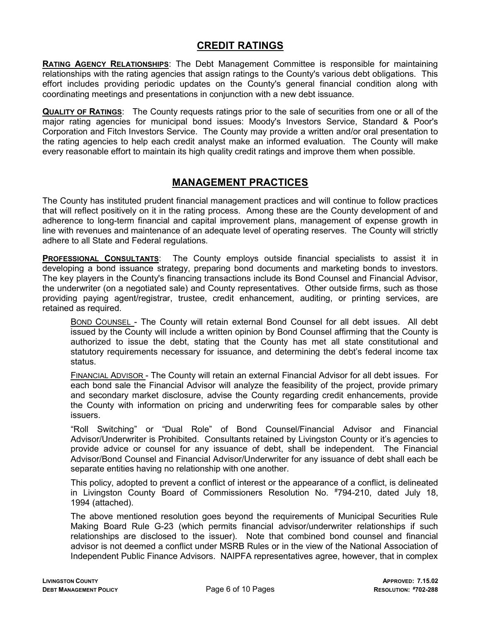#### CREDIT RATINGS

RATING AGENCY RELATIONSHIPS: The Debt Management Committee is responsible for maintaining relationships with the rating agencies that assign ratings to the County's various debt obligations. This effort includes providing periodic updates on the County's general financial condition along with coordinating meetings and presentations in conjunction with a new debt issuance.

**QUALITY OF RATINGS:** The County requests ratings prior to the sale of securities from one or all of the major rating agencies for municipal bond issues: Moody's Investors Service, Standard & Poor's Corporation and Fitch Investors Service. The County may provide a written and/or oral presentation to the rating agencies to help each credit analyst make an informed evaluation. The County will make every reasonable effort to maintain its high quality credit ratings and improve them when possible.

#### MANAGEMENT PRACTICES

The County has instituted prudent financial management practices and will continue to follow practices that will reflect positively on it in the rating process. Among these are the County development of and adherence to long-term financial and capital improvement plans, management of expense growth in line with revenues and maintenance of an adequate level of operating reserves. The County will strictly adhere to all State and Federal regulations.

PROFESSIONAL CONSULTANTS: The County employs outside financial specialists to assist it in developing a bond issuance strategy, preparing bond documents and marketing bonds to investors. The key players in the County's financing transactions include its Bond Counsel and Financial Advisor, the underwriter (on a negotiated sale) and County representatives. Other outside firms, such as those providing paying agent/registrar, trustee, credit enhancement, auditing, or printing services, are retained as required.

 BOND COUNSEL - The County will retain external Bond Counsel for all debt issues. All debt issued by the County will include a written opinion by Bond Counsel affirming that the County is authorized to issue the debt, stating that the County has met all state constitutional and statutory requirements necessary for issuance, and determining the debt's federal income tax status.

**FINANCIAL ADVISOR** - The County will retain an external Financial Advisor for all debt issues. For each bond sale the Financial Advisor will analyze the feasibility of the project, provide primary and secondary market disclosure, advise the County regarding credit enhancements, provide the County with information on pricing and underwriting fees for comparable sales by other issuers.

 "Roll Switching" or "Dual Role" of Bond Counsel/Financial Advisor and Financial Advisor/Underwriter is Prohibited. Consultants retained by Livingston County or it's agencies to provide advice or counsel for any issuance of debt, shall be independent. The Financial Advisor/Bond Counsel and Financial Advisor/Underwriter for any issuance of debt shall each be separate entities having no relationship with one another.

 This policy, adopted to prevent a conflict of interest or the appearance of a conflict, is delineated in Livingston County Board of Commissioners Resolution No. #794-210, dated July 18, 1994 (attached).

 The above mentioned resolution goes beyond the requirements of Municipal Securities Rule Making Board Rule G-23 (which permits financial advisor/underwriter relationships if such relationships are disclosed to the issuer). Note that combined bond counsel and financial advisor is not deemed a conflict under MSRB Rules or in the view of the National Association of Independent Public Finance Advisors. NAIPFA representatives agree, however, that in complex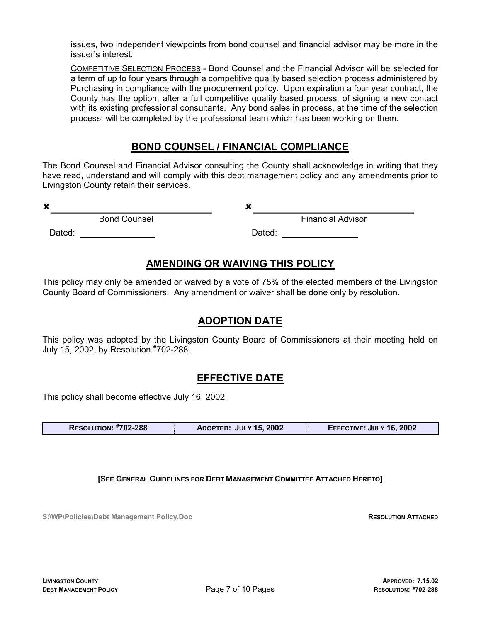issues, two independent viewpoints from bond counsel and financial advisor may be more in the issuer's interest.

 COMPETITIVE SELECTION PROCESS - Bond Counsel and the Financial Advisor will be selected for a term of up to four years through a competitive quality based selection process administered by Purchasing in compliance with the procurement policy. Upon expiration a four year contract, the County has the option, after a full competitive quality based process, of signing a new contact with its existing professional consultants. Any bond sales in process, at the time of the selection process, will be completed by the professional team which has been working on them.

### BOND COUNSEL / FINANCIAL COMPLIANCE

The Bond Counsel and Financial Advisor consulting the County shall acknowledge in writing that they have read, understand and will comply with this debt management policy and any amendments prior to Livingston County retain their services.

 $x_{\perp}$ 

 $x_{\_}$ 

**Bond Counsel** 

Dated:

Financial Advisor

Dated:

### AMENDING OR WAIVING THIS POLICY

This policy may only be amended or waived by a vote of 75% of the elected members of the Livingston County Board of Commissioners. Any amendment or waiver shall be done only by resolution.

#### ADOPTION DATE

This policy was adopted by the Livingston County Board of Commissioners at their meeting held on July 15, 2002, by Resolution #702-288.

## EFFECTIVE DATE

This policy shall become effective July 16, 2002.

| <b>RESOLUTION: #702-288</b><br>EFFECTIVE: JULY 16, 2002<br>ADOPTED: JULY 15, 2002 |
|-----------------------------------------------------------------------------------|
|-----------------------------------------------------------------------------------|

[SEE GENERAL GUIDELINES FOR DEBT MANAGEMENT COMMITTEE ATTACHED HERETO]

S:\WP\Policies\Debt Management Policy.Doc RESOLUTION ATTACHED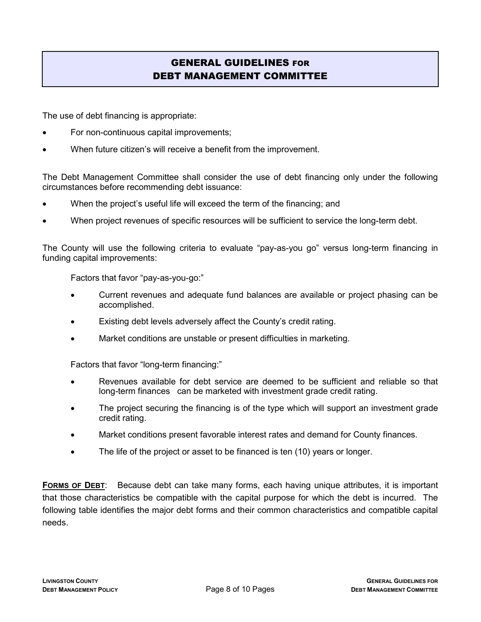## GENERAL GUIDELINES FOR DEBT MANAGEMENT COMMITTEE

The use of debt financing is appropriate:

- For non-continuous capital improvements;
- When future citizen's will receive a benefit from the improvement.

The Debt Management Committee shall consider the use of debt financing only under the following circumstances before recommending debt issuance:

- When the project's useful life will exceed the term of the financing; and
- When project revenues of specific resources will be sufficient to service the long-term debt.

The County will use the following criteria to evaluate "pay-as-you go" versus long-term financing in funding capital improvements:

Factors that favor "pay-as-you-go:"

- Current revenues and adequate fund balances are available or project phasing can be accomplished.
- Existing debt levels adversely affect the County's credit rating.
- Market conditions are unstable or present difficulties in marketing.

Factors that favor "long-term financing:"

- Revenues available for debt service are deemed to be sufficient and reliable so that long-term finances can be marketed with investment grade credit rating.
- The project securing the financing is of the type which will support an investment grade credit rating.
- Market conditions present favorable interest rates and demand for County finances.
- The life of the project or asset to be financed is ten (10) years or longer.

FORMS OF DEBT: Because debt can take many forms, each having unique attributes, it is important that those characteristics be compatible with the capital purpose for which the debt is incurred. The following table identifies the major debt forms and their common characteristics and compatible capital needs.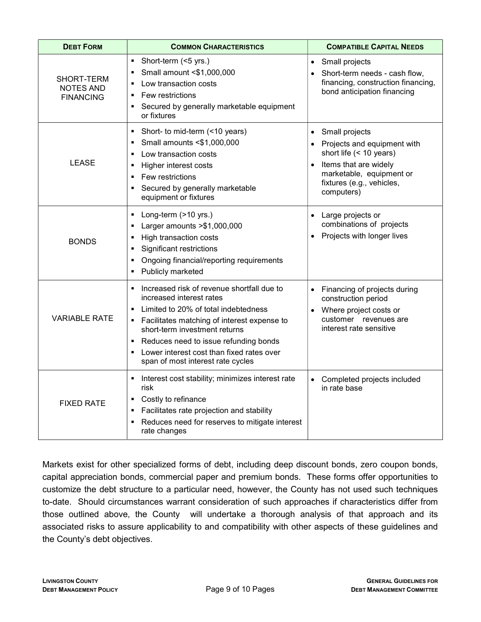| <b>DEBT FORM</b>                                   | <b>COMMON CHARACTERISTICS</b>                                                                                                                                                                                                                                                                                                                                                             | <b>COMPATIBLE CAPITAL NEEDS</b>                                                                                                                                                                                 |
|----------------------------------------------------|-------------------------------------------------------------------------------------------------------------------------------------------------------------------------------------------------------------------------------------------------------------------------------------------------------------------------------------------------------------------------------------------|-----------------------------------------------------------------------------------------------------------------------------------------------------------------------------------------------------------------|
| SHORT-TERM<br><b>NOTES AND</b><br><b>FINANCING</b> | Short-term (<5 yrs.)<br>٠<br>Small amount <\$1,000,000<br>٠<br>Low transaction costs<br>$\blacksquare$<br>Few restrictions<br>$\blacksquare$<br>Secured by generally marketable equipment<br>$\blacksquare$<br>or fixtures                                                                                                                                                                | Small projects<br>$\bullet$<br>Short-term needs - cash flow,<br>$\bullet$<br>financing, construction financing,<br>bond anticipation financing                                                                  |
| <b>LEASE</b>                                       | Short- to mid-term (<10 years)<br>$\blacksquare$<br>Small amounts <\$1,000,000<br>٠<br>Low transaction costs<br>$\blacksquare$<br>Higher interest costs<br>$\blacksquare$<br>Few restrictions<br>$\blacksquare$<br>Secured by generally marketable<br>$\blacksquare$<br>equipment or fixtures                                                                                             | Small projects<br>$\bullet$<br>Projects and equipment with<br>$\bullet$<br>short life (< 10 years)<br>Items that are widely<br>$\bullet$<br>marketable, equipment or<br>fixtures (e.g., vehicles,<br>computers) |
| <b>BONDS</b>                                       | Long-term (>10 yrs.)<br>٠<br>Larger amounts > \$1,000,000<br>$\blacksquare$<br>High transaction costs<br>$\blacksquare$<br><b>Significant restrictions</b><br>٠<br>Ongoing financial/reporting requirements<br>$\blacksquare$<br>Publicly marketed<br>$\blacksquare$                                                                                                                      | Large projects or<br>$\bullet$<br>combinations of projects<br>Projects with longer lives                                                                                                                        |
| <b>VARIABLE RATE</b>                               | Increased risk of revenue shortfall due to<br>٠<br>increased interest rates<br>Limited to 20% of total indebtedness<br>$\blacksquare$<br>Facilitates matching of interest expense to<br>$\blacksquare$<br>short-term investment returns<br>Reduces need to issue refunding bonds<br>٠<br>Lower interest cost than fixed rates over<br>$\blacksquare$<br>span of most interest rate cycles | Financing of projects during<br>construction period<br>Where project costs or<br>customer revenues are<br>interest rate sensitive                                                                               |
| <b>FIXED RATE</b>                                  | Interest cost stability; minimizes interest rate<br>٠<br>risk<br>Costly to refinance<br>٠<br>Facilitates rate projection and stability<br>٠<br>Reduces need for reserves to mitigate interest<br>rate changes                                                                                                                                                                             | Completed projects included<br>$\bullet$<br>in rate base                                                                                                                                                        |

Markets exist for other specialized forms of debt, including deep discount bonds, zero coupon bonds, capital appreciation bonds, commercial paper and premium bonds. These forms offer opportunities to customize the debt structure to a particular need, however, the County has not used such techniques to-date. Should circumstances warrant consideration of such approaches if characteristics differ from those outlined above, the County will undertake a thorough analysis of that approach and its associated risks to assure applicability to and compatibility with other aspects of these guidelines and the County's debt objectives.